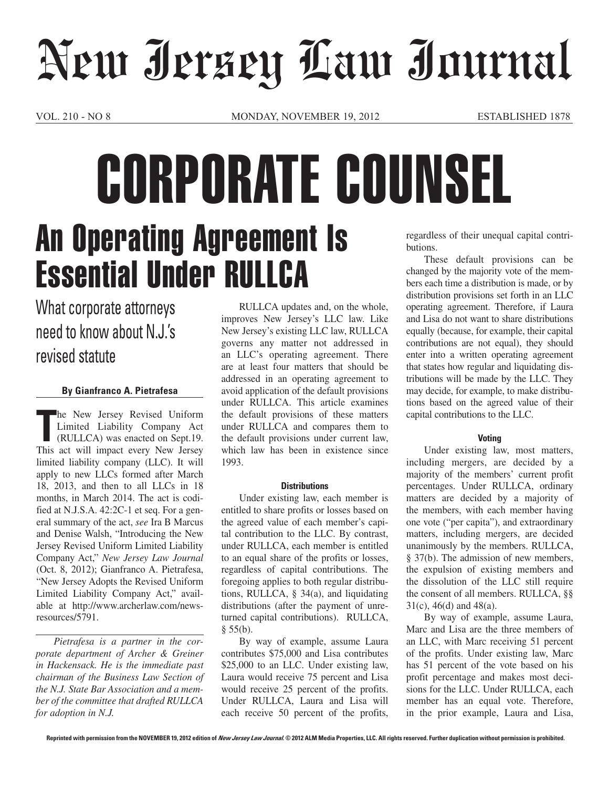# New Jersey Law Journal

VOL. 210 - NO 8 MONDAY, NOVEMBER 19, 2012 ESTABLISHED 1878

## butions. An Operating Agreement Is Essential Under RULLCA CORPORATE COUNSEL

### What corporate attorneys need to know about N.J.'s revised statute

#### **By Gianfranco A. Pietrafesa**

The New Jersey Revised Uniform<br>
Limited Liability Company Act<br>
(RULLCA) was enacted on Sept.19.<br>
This act will impact every New Jersey he New Jersey Revised Uniform Limited Liability Company Act (RULLCA) was enacted on Sept.19. limited liability company (LLC). It will apply to new LLCs formed after March 18, 2013, and then to all LLCs in 18 months, in March 2014. The act is codified at N.J.S.A. 42:2C-1 et seq. For a general summary of the act, *see* Ira B Marcus and Denise Walsh, "Introducing the New Jersey Revised Uniform Limited Liability Company Act," *New Jersey Law Journal*  (Oct. 8, 2012); Gianfranco A. Pietrafesa, "New Jersey Adopts the Revised Uniform Limited Liability Company Act," available at http://www.archerlaw.com/newsresources/5791.

*Pietrafesa is a partner in the corporate department of Archer & Greiner in Hackensack. He is the immediate past chairman of the Business Law Section of the N.J. State Bar Association and a member of the committee that drafted RULLCA for adoption in N.J.*

RULLCA updates and, on the whole, improves New Jersey's LLC law. Like New Jersey's existing LLC law, RULLCA governs any matter not addressed in an LLC's operating agreement. There are at least four matters that should be addressed in an operating agreement to avoid application of the default provisions under RULLCA. This article examines the default provisions of these matters under RULLCA and compares them to the default provisions under current law, which law has been in existence since 1993.

#### **Distributions**

Under existing law, each member is entitled to share profits or losses based on the agreed value of each member's capital contribution to the LLC. By contrast, under RULLCA, each member is entitled to an equal share of the profits or losses, regardless of capital contributions. The foregoing applies to both regular distributions, RULLCA, § 34(a), and liquidating distributions (after the payment of unreturned capital contributions). RULLCA,  $§ 55(b).$ 

By way of example, assume Laura contributes \$75,000 and Lisa contributes \$25,000 to an LLC. Under existing law, Laura would receive 75 percent and Lisa would receive 25 percent of the profits. Under RULLCA, Laura and Lisa will each receive 50 percent of the profits,

regardless of their unequal capital contri-

These default provisions can be changed by the majority vote of the members each time a distribution is made, or by distribution provisions set forth in an LLC operating agreement. Therefore, if Laura and Lisa do not want to share distributions equally (because, for example, their capital contributions are not equal), they should enter into a written operating agreement that states how regular and liquidating distributions will be made by the LLC. They may decide, for example, to make distributions based on the agreed value of their capital contributions to the LLC.

#### **Voting**

Under existing law, most matters, including mergers, are decided by a majority of the members' current profit percentages. Under RULLCA, ordinary matters are decided by a majority of the members, with each member having one vote ("per capita"), and extraordinary matters, including mergers, are decided unanimously by the members. RULLCA, § 37(b). The admission of new members, the expulsion of existing members and the dissolution of the LLC still require the consent of all members. RULLCA, §§ 31(c), 46(d) and 48(a).

By way of example, assume Laura, Marc and Lisa are the three members of an LLC, with Marc receiving 51 percent of the profits. Under existing law, Marc has 51 percent of the vote based on his profit percentage and makes most decisions for the LLC. Under RULLCA, each member has an equal vote. Therefore, in the prior example, Laura and Lisa,